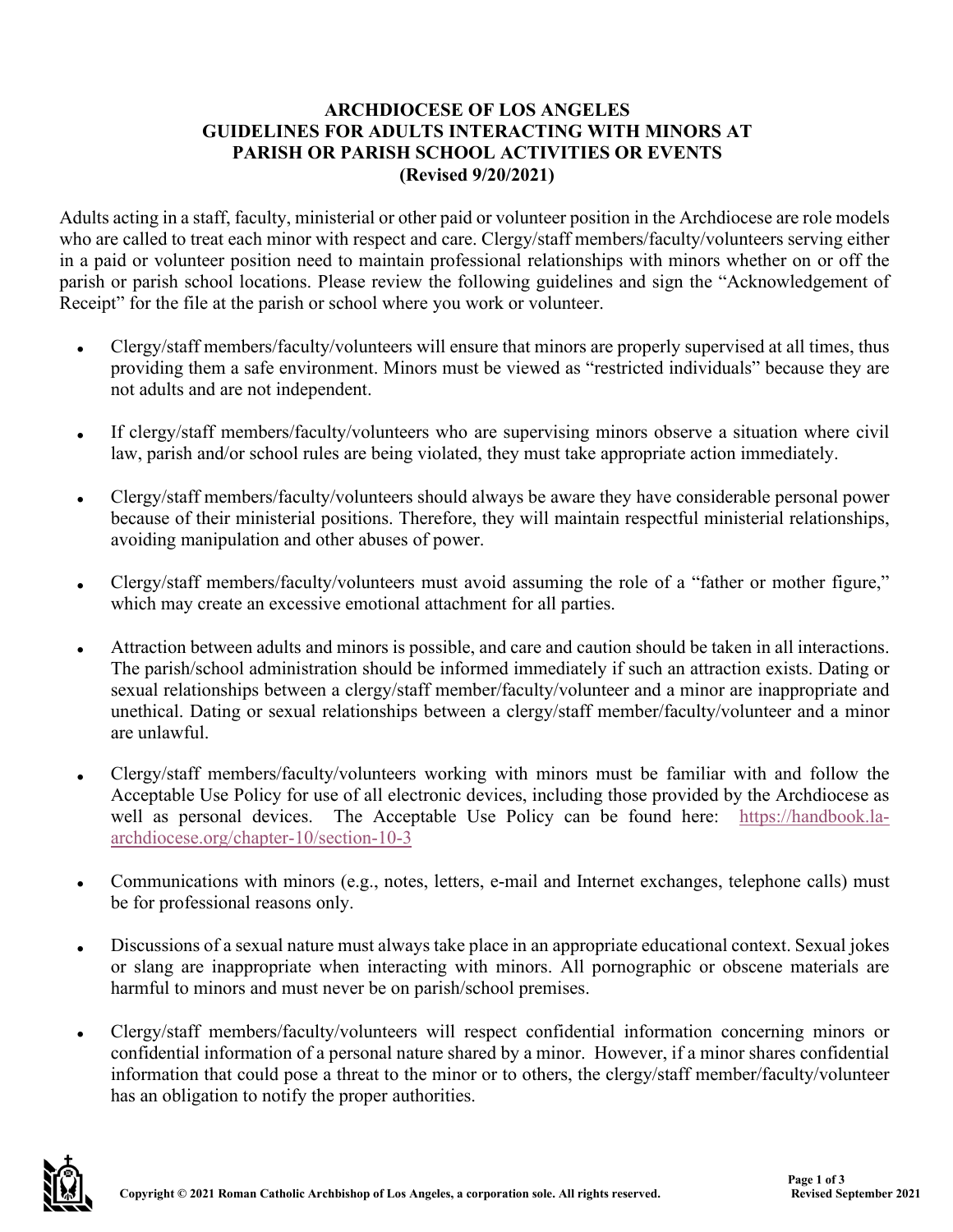## **ARCHDIOCESE OF LOS ANGELES GUIDELINES FOR ADULTS INTERACTING WITH MINORS AT PARISH OR PARISH SCHOOL ACTIVITIES OR EVENTS (Revised 9/20/2021)**

Adults acting in a staff, faculty, ministerial or other paid or volunteer position in the Archdiocese are role models who are called to treat each minor with respect and care. Clergy/staff members/faculty/volunteers serving either in a paid or volunteer position need to maintain professional relationships with minors whether on or off the parish or parish school locations. Please review the following guidelines and sign the "Acknowledgement of Receipt" for the file at the parish or school where you work or volunteer.

- Clergy/staff members/faculty/volunteers will ensure that minors are properly supervised at all times, thus providing them a safe environment. Minors must be viewed as "restricted individuals" because they are not adults and are not independent.
- If clergy/staff members/faculty/volunteers who are supervising minors observe a situation where civil law, parish and/or school rules are being violated, they must take appropriate action immediately.
- Clergy/staff members/faculty/volunteers should always be aware they have considerable personal power because of their ministerial positions. Therefore, they will maintain respectful ministerial relationships, avoiding manipulation and other abuses of power.
- Clergy/staff members/faculty/volunteers must avoid assuming the role of a "father or mother figure," which may create an excessive emotional attachment for all parties.
- Attraction between adults and minors is possible, and care and caution should be taken in all interactions. The parish/school administration should be informed immediately if such an attraction exists. Dating or sexual relationships between a clergy/staff member/faculty/volunteer and a minor are inappropriate and unethical. Dating or sexual relationships between a clergy/staff member/faculty/volunteer and a minor are unlawful.
- Clergy/staff members/faculty/volunteers working with minors must be familiar with and follow the Acceptable Use Policy for use of all electronic devices, including those provided by the Archdiocese as well as personal devices. The Acceptable Use Policy can be found here: [https://handbook.la](https://handbook.la-archdiocese.org/chapter-10/section-10-3)[archdiocese.org/chapter-10/section-10-3](https://handbook.la-archdiocese.org/chapter-10/section-10-3)
- Communications with minors (e.g., notes, letters, e-mail and Internet exchanges, telephone calls) must be for professional reasons only.
- Discussions of a sexual nature must always take place in an appropriate educational context. Sexual jokes or slang are inappropriate when interacting with minors. All pornographic or obscene materials are harmful to minors and must never be on parish/school premises.
- Clergy/staff members/faculty/volunteers will respect confidential information concerning minors or confidential information of a personal nature shared by a minor. However, if a minor shares confidential information that could pose a threat to the minor or to others, the clergy/staff member/faculty/volunteer has an obligation to notify the proper authorities.

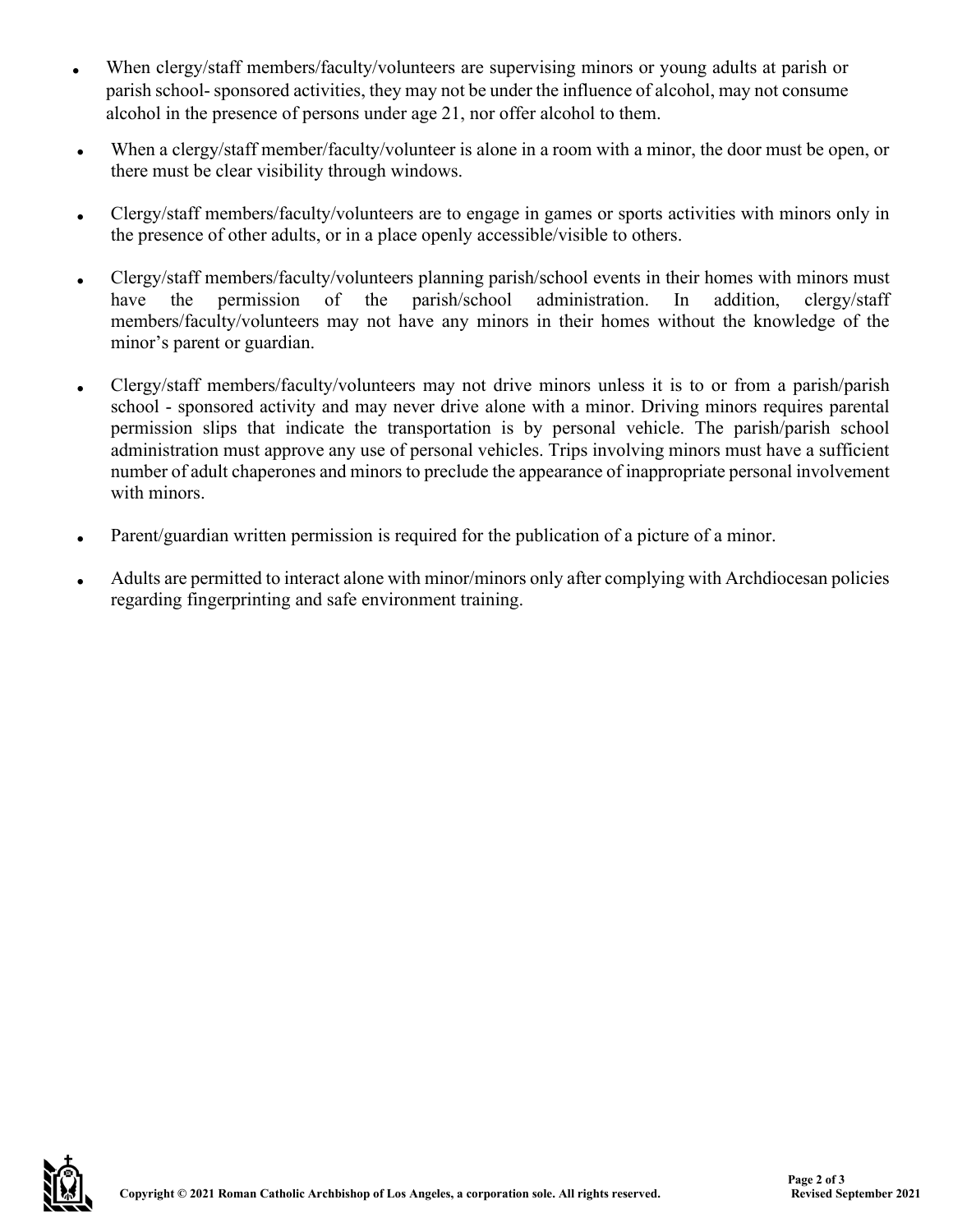- When clergy/staff members/faculty/volunteers are supervising minors or young adults at parish or parish school- sponsored activities, they may not be under the influence of alcohol, may not consume alcohol in the presence of persons under age 21, nor offer alcohol to them.
- When a clergy/staff member/faculty/volunteer is alone in a room with a minor, the door must be open, or there must be clear visibility through windows.
- Clergy/staff members/faculty/volunteers are to engage in games or sports activities with minors only in the presence of other adults, or in a place openly accessible/visible to others.
- Clergy/staff members/faculty/volunteers planning parish/school events in their homes with minors must<br>have the permission of the parish/school administration. In addition, clergy/staff administration. members/faculty/volunteers may not have any minors in their homes without the knowledge of the minor's parent or guardian.
- Clergy/staff members/faculty/volunteers may not drive minors unless it is to or from a parish/parish school - sponsored activity and may never drive alone with a minor. Driving minors requires parental permission slips that indicate the transportation is by personal vehicle. The parish/parish school administration must approve any use of personal vehicles. Trips involving minors must have a sufficient number of adult chaperones and minors to preclude the appearance of inappropriate personal involvement with minors.
- Parent/guardian written permission is required for the publication of a picture of a minor.
- Adults are permitted to interact alone with minor/minors only after complying with Archdiocesan policies regarding fingerprinting and safe environment training.